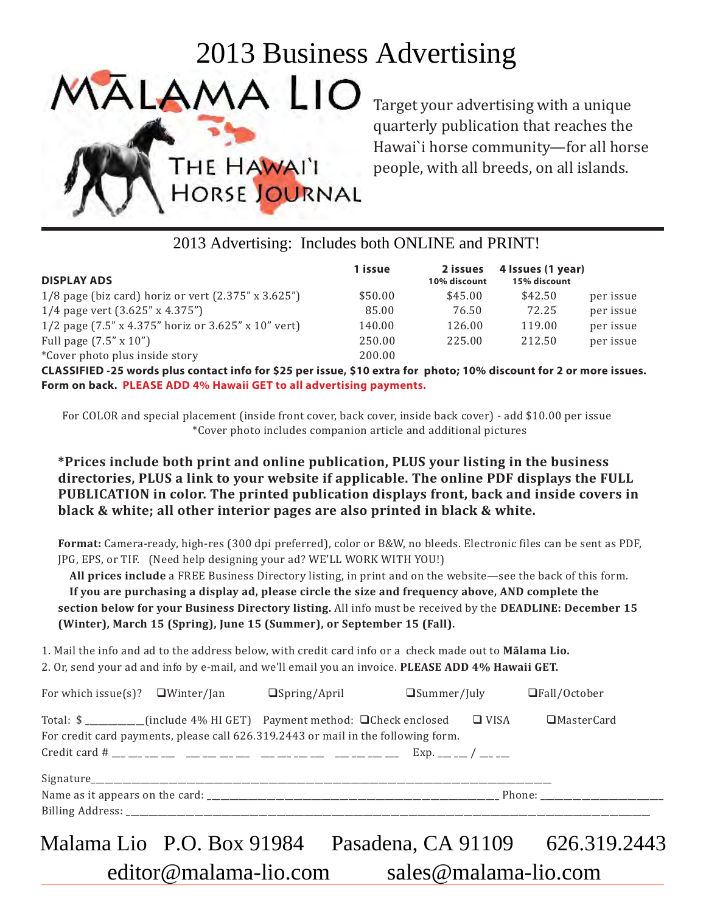| <b>DISPLAY ADS</b>                                                    | 1 issue | 2 issues<br>10% discount | 4 Issues (1 year)<br>15% discount |           |
|-----------------------------------------------------------------------|---------|--------------------------|-----------------------------------|-----------|
| 1/8 page (biz card) horiz or vert $(2.375'' \times 3.625'')$          | \$50.00 | \$45.00                  | \$42.50                           | per issue |
| 1/4 page vert (3.625" x 4.375")                                       | 85.00   | 76.50                    | 72.25                             | per issue |
| 1/2 page $(7.5'' \times 4.375''$ horiz or $3.625'' \times 10''$ vert) | 140.00  | 126.00                   | 119.00                            | per issue |
| Full page $(7.5'' \times 10'')$                                       | 250.00  | 225.00                   | 212.50                            | per issue |
| *Cover photo plus inside story                                        | 200.00  |                          |                                   |           |

|                                                                                                                                                                                                                                                                                                                                                                                                                                                                                                                                                                                                                                                                                                                                                                                                                                                                                                                                                                                                                                                                                                                                                          | 2013 Business Advertising                                       |                  |                                                                                   |                                   |             |
|----------------------------------------------------------------------------------------------------------------------------------------------------------------------------------------------------------------------------------------------------------------------------------------------------------------------------------------------------------------------------------------------------------------------------------------------------------------------------------------------------------------------------------------------------------------------------------------------------------------------------------------------------------------------------------------------------------------------------------------------------------------------------------------------------------------------------------------------------------------------------------------------------------------------------------------------------------------------------------------------------------------------------------------------------------------------------------------------------------------------------------------------------------|-----------------------------------------------------------------|------------------|-----------------------------------------------------------------------------------|-----------------------------------|-------------|
| LAMA LIO                                                                                                                                                                                                                                                                                                                                                                                                                                                                                                                                                                                                                                                                                                                                                                                                                                                                                                                                                                                                                                                                                                                                                 |                                                                 |                  | Target your advertising with a unique<br>quarterly publication that reaches the   |                                   |             |
| THE HAWAI'I                                                                                                                                                                                                                                                                                                                                                                                                                                                                                                                                                                                                                                                                                                                                                                                                                                                                                                                                                                                                                                                                                                                                              | HORSE JOURNAL                                                   |                  | Hawai'i horse community-for all horse<br>people, with all breeds, on all islands. |                                   |             |
|                                                                                                                                                                                                                                                                                                                                                                                                                                                                                                                                                                                                                                                                                                                                                                                                                                                                                                                                                                                                                                                                                                                                                          | 2013 Advertising: Includes both ONLINE and PRINT!               |                  |                                                                                   |                                   |             |
| <b>DISPLAY ADS</b>                                                                                                                                                                                                                                                                                                                                                                                                                                                                                                                                                                                                                                                                                                                                                                                                                                                                                                                                                                                                                                                                                                                                       |                                                                 | 1 issue          | 2 issues<br>10% discount                                                          | 4 Issues (1 year)<br>15% discount |             |
| 1/8 page (biz card) horiz or vert (2.375" x 3.625")                                                                                                                                                                                                                                                                                                                                                                                                                                                                                                                                                                                                                                                                                                                                                                                                                                                                                                                                                                                                                                                                                                      |                                                                 | \$50.00          | \$45.00                                                                           | \$42.50                           | per issue   |
| 1/4 page vert (3.625" x 4.375")                                                                                                                                                                                                                                                                                                                                                                                                                                                                                                                                                                                                                                                                                                                                                                                                                                                                                                                                                                                                                                                                                                                          |                                                                 | 85.00            | 76.50                                                                             | 72.25                             | per issue   |
| 1/2 page (7.5" x 4.375" horiz or 3.625" x 10" vert)                                                                                                                                                                                                                                                                                                                                                                                                                                                                                                                                                                                                                                                                                                                                                                                                                                                                                                                                                                                                                                                                                                      |                                                                 | 140.00           | 126.00                                                                            | 119.00                            | per issue   |
| Full page (7.5" x 10")<br>*Cover photo plus inside story                                                                                                                                                                                                                                                                                                                                                                                                                                                                                                                                                                                                                                                                                                                                                                                                                                                                                                                                                                                                                                                                                                 |                                                                 | 250.00<br>200.00 | 225.00                                                                            | 212.50                            | per issue   |
| Form on back. PLEASE ADD 4% Hawaii GET to all advertising payments.<br>For COLOR and special placement (inside front cover, back cover, inside back cover) - add \$10.00 per issue<br>*Prices include both print and online publication, PLUS your listing in the business<br>directories, PLUS a link to your website if applicable. The online PDF displays the FULL<br>PUBLICATION in color. The printed publication displays front, back and inside covers in<br>black & white; all other interior pages are also printed in black & white.<br>Format: Camera-ready, high-res (300 dpi preferred), color or B&W, no bleeds. Electronic files can be sent as PDF,<br>JPG, EPS, or TIF. (Need help designing your ad? WE'LL WORK WITH YOU!)<br>All prices include a FREE Business Directory listing, in print and on the website—see the back of this form.<br>If you are purchasing a display ad, please circle the size and frequency above, AND complete the<br>section below for your Business Directory listing. All info must be received by the DEADLINE: December 15<br>(Winter), March 15 (Spring), June 15 (Summer), or September 15 (Fall). | *Cover photo includes companion article and additional pictures |                  |                                                                                   |                                   |             |
| 1. Mail the info and ad to the address below, with credit card info or a check made out to Malama Lio.<br>2. Or, send your ad and info by e-mail, and we'll email you an invoice. PLEASE ADD 4% Hawaii GET.                                                                                                                                                                                                                                                                                                                                                                                                                                                                                                                                                                                                                                                                                                                                                                                                                                                                                                                                              |                                                                 |                  |                                                                                   |                                   |             |
| For which issue(s)? $\Box$ Winter/Jan                                                                                                                                                                                                                                                                                                                                                                                                                                                                                                                                                                                                                                                                                                                                                                                                                                                                                                                                                                                                                                                                                                                    | $\Box$ Spring/April                                             |                  | $\square$ Summer/July                                                             | □Fall/October                     |             |
| Total: \$ __________(include 4% HI GET) Payment method: □ Check enclosed<br>For credit card payments, please call 626.319.2443 or mail in the following form.                                                                                                                                                                                                                                                                                                                                                                                                                                                                                                                                                                                                                                                                                                                                                                                                                                                                                                                                                                                            |                                                                 |                  | $\Box$ VISA                                                                       |                                   | □MasterCard |
|                                                                                                                                                                                                                                                                                                                                                                                                                                                                                                                                                                                                                                                                                                                                                                                                                                                                                                                                                                                                                                                                                                                                                          |                                                                 |                  |                                                                                   |                                   |             |
|                                                                                                                                                                                                                                                                                                                                                                                                                                                                                                                                                                                                                                                                                                                                                                                                                                                                                                                                                                                                                                                                                                                                                          |                                                                 |                  |                                                                                   |                                   |             |
| Malama Lio P.O. Box 91984  Pasadena, CA 91109  626.319.2443<br>editor@malama-lio.com                                                                                                                                                                                                                                                                                                                                                                                                                                                                                                                                                                                                                                                                                                                                                                                                                                                                                                                                                                                                                                                                     |                                                                 |                  | sales@malama-lio.com                                                              |                                   |             |